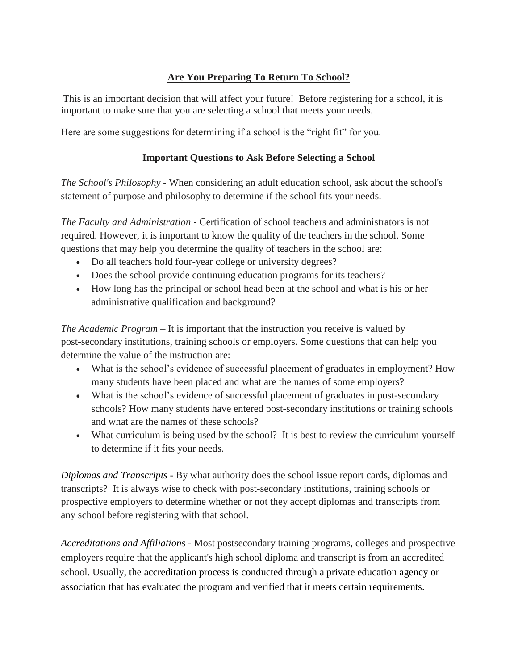## **Are You Preparing To Return To School?**

This is an important decision that will affect your future! Before registering for a school, it is important to make sure that you are selecting a school that meets your needs.

Here are some suggestions for determining if a school is the "right fit" for you.

## **Important Questions to Ask Before Selecting a School**

*The School's Philosophy* - When considering an adult education school, ask about the school's statement of purpose and philosophy to determine if the school fits your needs.

*The Faculty and Administration* - Certification of school teachers and administrators is not required. However, it is important to know the quality of the teachers in the school. Some questions that may help you determine the quality of teachers in the school are:

- Do all teachers hold four-year college or university degrees?
- Does the school provide continuing education programs for its teachers?
- How long has the principal or school head been at the school and what is his or her administrative qualification and background?

*The Academic Program* – It is important that the instruction you receive is valued by post-secondary institutions, training schools or employers. Some questions that can help you determine the value of the instruction are:

- What is the school's evidence of successful placement of graduates in employment? How many students have been placed and what are the names of some employers?
- What is the school's evidence of successful placement of graduates in post-secondary schools? How many students have entered post-secondary institutions or training schools and what are the names of these schools?
- What curriculum is being used by the school? It is best to review the curriculum yourself to determine if it fits your needs.

*Diplomas and Transcripts -* By what authority does the school issue report cards, diplomas and transcripts? It is always wise to check with post-secondary institutions, training schools or prospective employers to determine whether or not they accept diplomas and transcripts from any school before registering with that school.

*Accreditations and Affiliations -* Most postsecondary training programs, colleges and prospective employers require that the applicant's high school diploma and transcript is from an accredited school. Usually, the accreditation process is conducted through a private education agency or association that has evaluated the program and verified that it meets certain requirements.